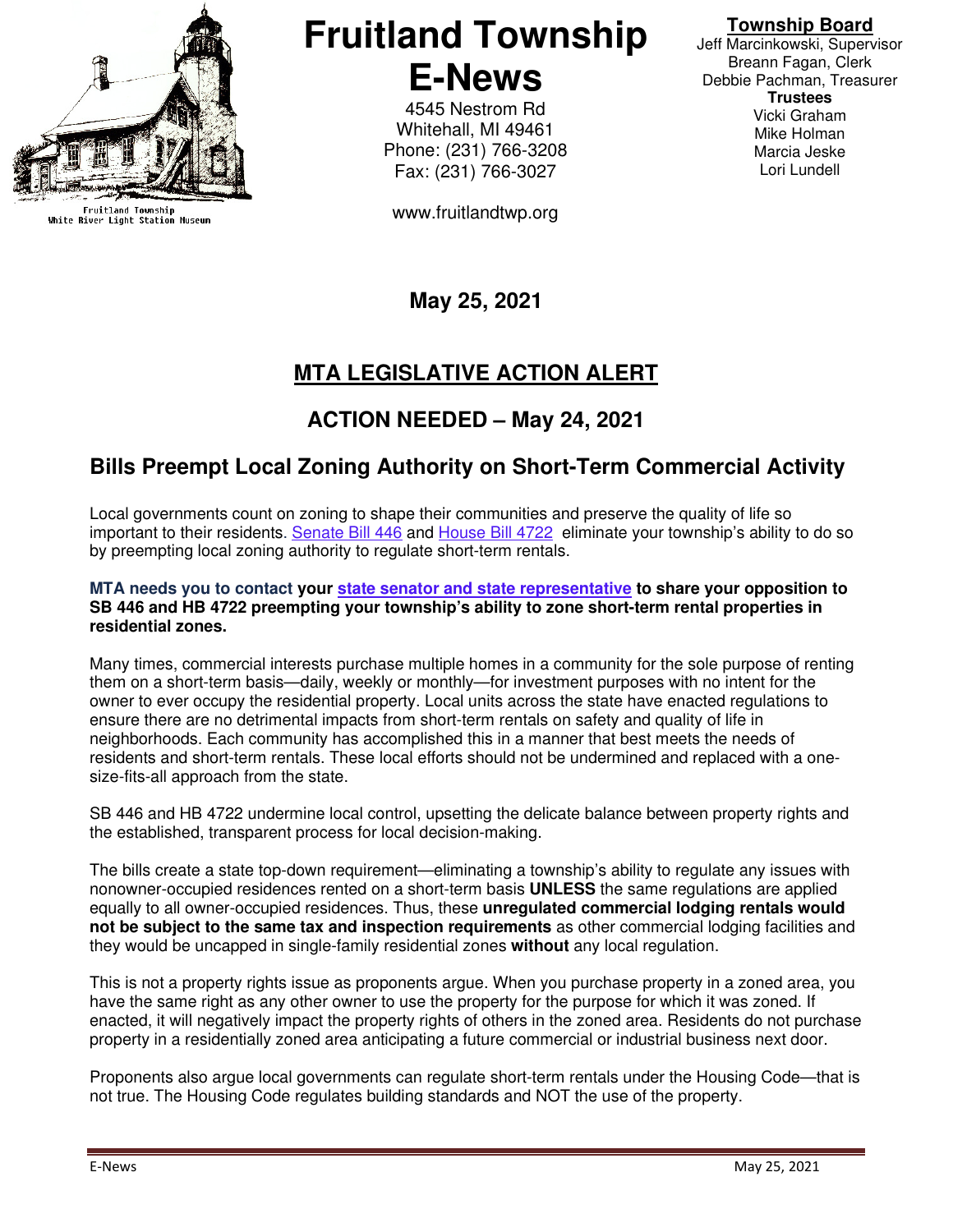

Fruitland Township<br>White River Light Station Museum

**Fruitland Township E-News** 

> 4545 Nestrom Rd Whitehall, MI 49461 Phone: (231) 766-3208 Fax: (231) 766-3027

www.fruitlandtwp.org

#### **Township Board**

Jeff Marcinkowski, Supervisor Breann Fagan, Clerk Debbie Pachman, Treasurer **Trustees**  Vicki Graham Mike Holman Marcia Jeske Lori Lundell

## **May 25, 2021**

# **MTA LEGISLATIVE ACTION ALERT**

### **ACTION NEEDED – May 24, 2021**

### **Bills Preempt Local Zoning Authority on Short-Term Commercial Activity**

Local governments count on zoning to shape their communities and preserve the quality of life so important to their residents. Senate Bill 446 and House Bill 4722 eliminate your township's ability to do so by preempting local zoning authority to regulate short-term rentals.

#### **MTA needs you to contact your state senator and state representative to share your opposition to SB 446 and HB 4722 preempting your township's ability to zone short-term rental properties in residential zones.**

Many times, commercial interests purchase multiple homes in a community for the sole purpose of renting them on a short-term basis—daily, weekly or monthly—for investment purposes with no intent for the owner to ever occupy the residential property. Local units across the state have enacted regulations to ensure there are no detrimental impacts from short-term rentals on safety and quality of life in neighborhoods. Each community has accomplished this in a manner that best meets the needs of residents and short-term rentals. These local efforts should not be undermined and replaced with a onesize-fits-all approach from the state.

SB 446 and HB 4722 undermine local control, upsetting the delicate balance between property rights and the established, transparent process for local decision-making.

The bills create a state top-down requirement—eliminating a township's ability to regulate any issues with nonowner-occupied residences rented on a short-term basis **UNLESS** the same regulations are applied equally to all owner-occupied residences. Thus, these **unregulated commercial lodging rentals would not be subject to the same tax and inspection requirements** as other commercial lodging facilities and they would be uncapped in single-family residential zones **without** any local regulation.

This is not a property rights issue as proponents argue. When you purchase property in a zoned area, you have the same right as any other owner to use the property for the purpose for which it was zoned. If enacted, it will negatively impact the property rights of others in the zoned area. Residents do not purchase property in a residentially zoned area anticipating a future commercial or industrial business next door.

Proponents also argue local governments can regulate short-term rentals under the Housing Code—that is not true. The Housing Code regulates building standards and NOT the use of the property.